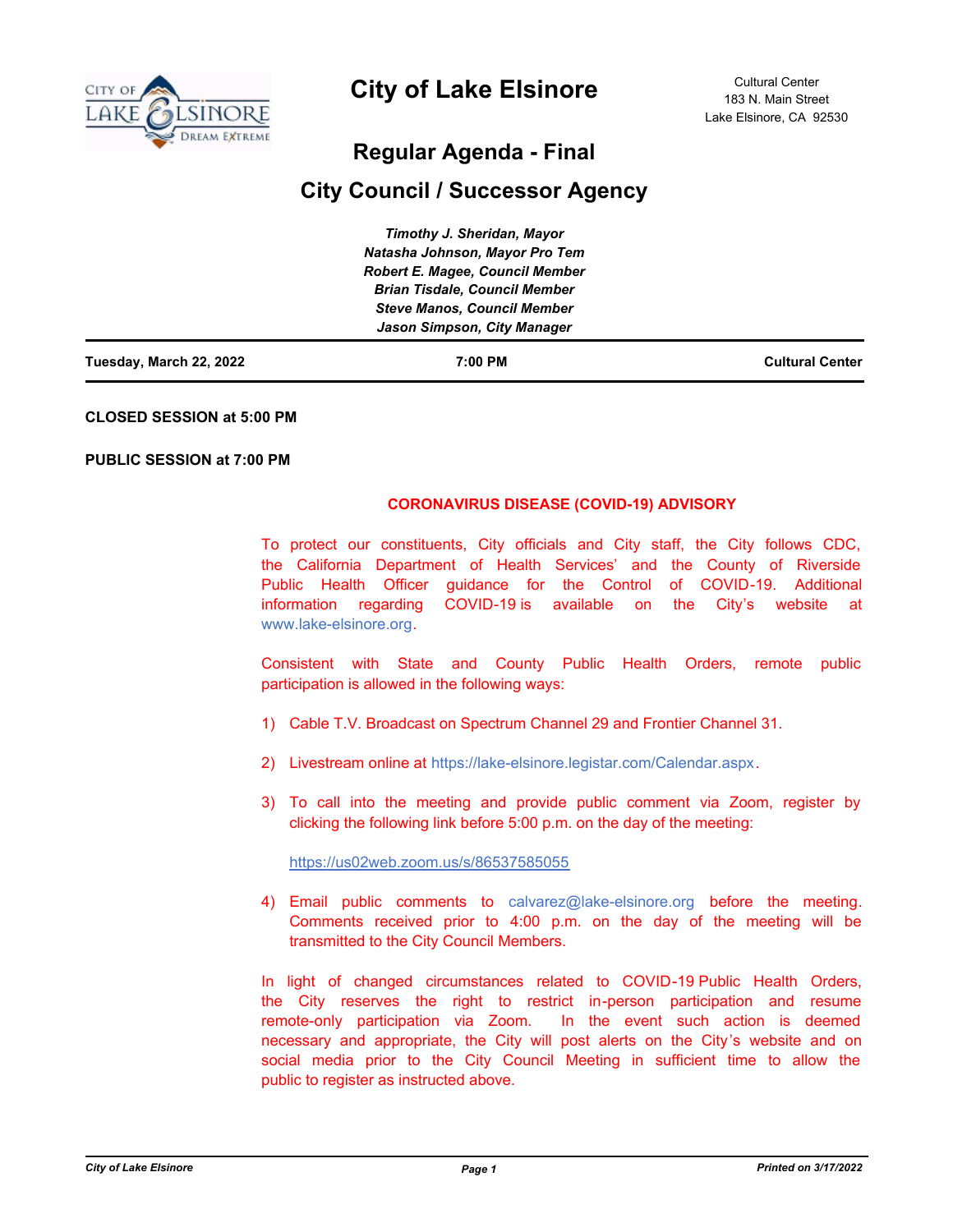

# **City of Lake Elsinore**

# **Regular Agenda - Final**

# **City Council / Successor Agency**

| Tuesday, March 22, 2022 | 7:00 PM                                | <b>Cultural Center</b> |
|-------------------------|----------------------------------------|------------------------|
|                         | Jason Simpson, City Manager            |                        |
|                         | <b>Steve Manos, Council Member</b>     |                        |
|                         | <b>Brian Tisdale, Council Member</b>   |                        |
|                         | <b>Robert E. Magee, Council Member</b> |                        |
|                         | Natasha Johnson, Mayor Pro Tem         |                        |
|                         | Timothy J. Sheridan, Mayor             |                        |

### **CLOSED SESSION at 5:00 PM**

### **PUBLIC SESSION at 7:00 PM**

# **CORONAVIRUS DISEASE (COVID-19) ADVISORY**

To protect our constituents, City officials and City staff, the City follows CDC, the California Department of Health Services' and the County of Riverside Public Health Officer guidance for the Control of COVID-19. Additional information regarding COVID-19 is available on the City's website at www.lake-elsinore.org.

Consistent with State and County Public Health Orders, remote public participation is allowed in the following ways:

- 1) Cable T.V. Broadcast on Spectrum Channel 29 and Frontier Channel 31.
- 2) Livestream online at https://lake-elsinore.legistar.com/Calendar.aspx.
- 3) To call into the meeting and provide public comment via Zoom, register by clicking the following link before 5:00 p.m. on the day of the meeting:

https://us02web.zoom.us/s/86537585055

4) Email public comments to calvarez@lake-elsinore.org before the meeting. Comments received prior to 4:00 p.m. on the day of the meeting will be transmitted to the City Council Members.

In light of changed circumstances related to COVID-19 Public Health Orders, the City reserves the right to restrict in-person participation and resume remote-only participation via Zoom. In the event such action is deemed necessary and appropriate, the City will post alerts on the City's website and on social media prior to the City Council Meeting in sufficient time to allow the public to register as instructed above.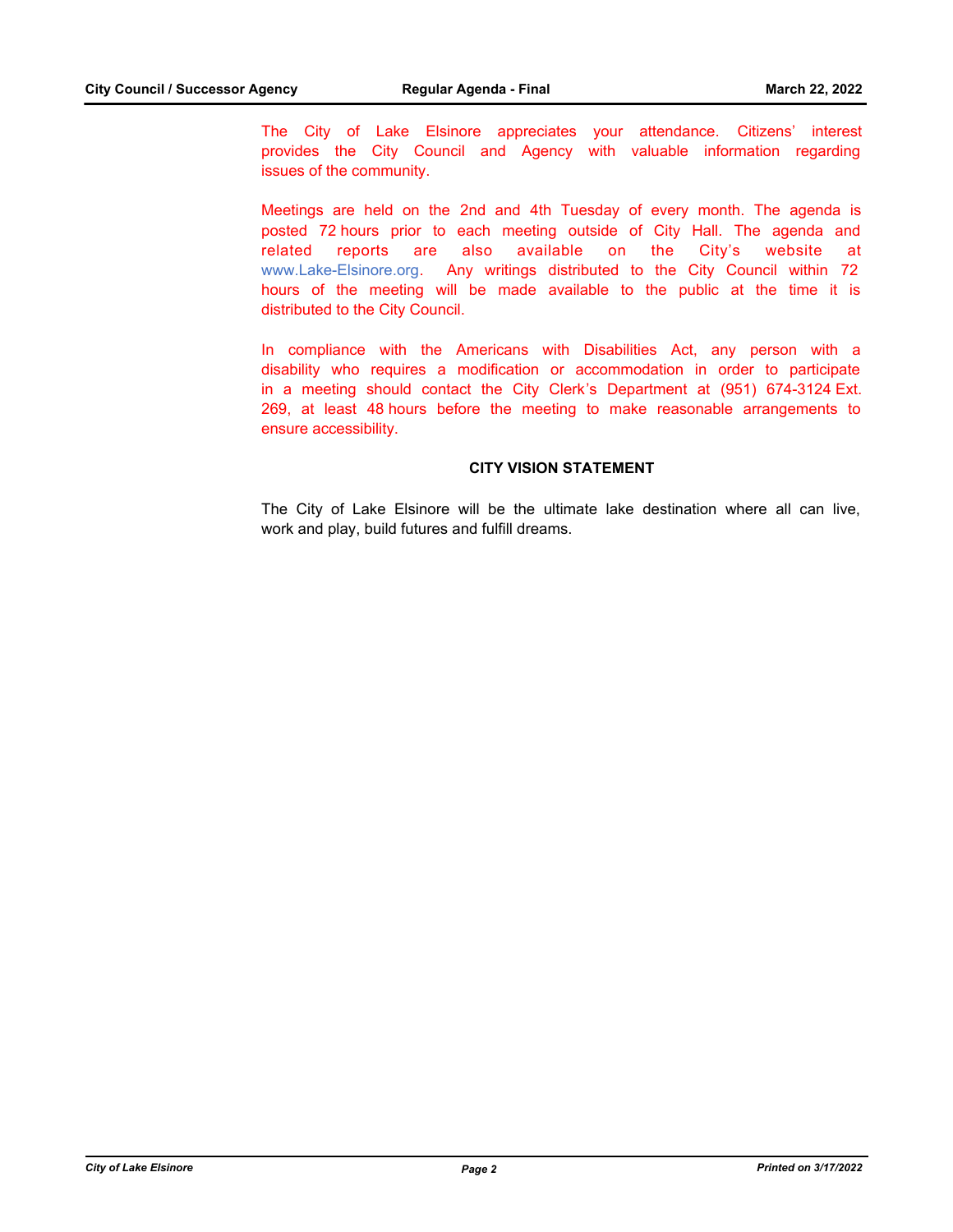The City of Lake Elsinore appreciates your attendance. Citizens' interest provides the City Council and Agency with valuable information regarding issues of the community.

Meetings are held on the 2nd and 4th Tuesday of every month. The agenda is posted 72 hours prior to each meeting outside of City Hall. The agenda and related reports are also available on the City's website at www.Lake-Elsinore.org. Any writings distributed to the City Council within 72 hours of the meeting will be made available to the public at the time it is distributed to the City Council.

In compliance with the Americans with Disabilities Act, any person with a disability who requires a modification or accommodation in order to participate in a meeting should contact the City Clerk's Department at (951) 674-3124 Ext. 269, at least 48 hours before the meeting to make reasonable arrangements to ensure accessibility.

#### **CITY VISION STATEMENT**

The City of Lake Elsinore will be the ultimate lake destination where all can live, work and play, build futures and fulfill dreams.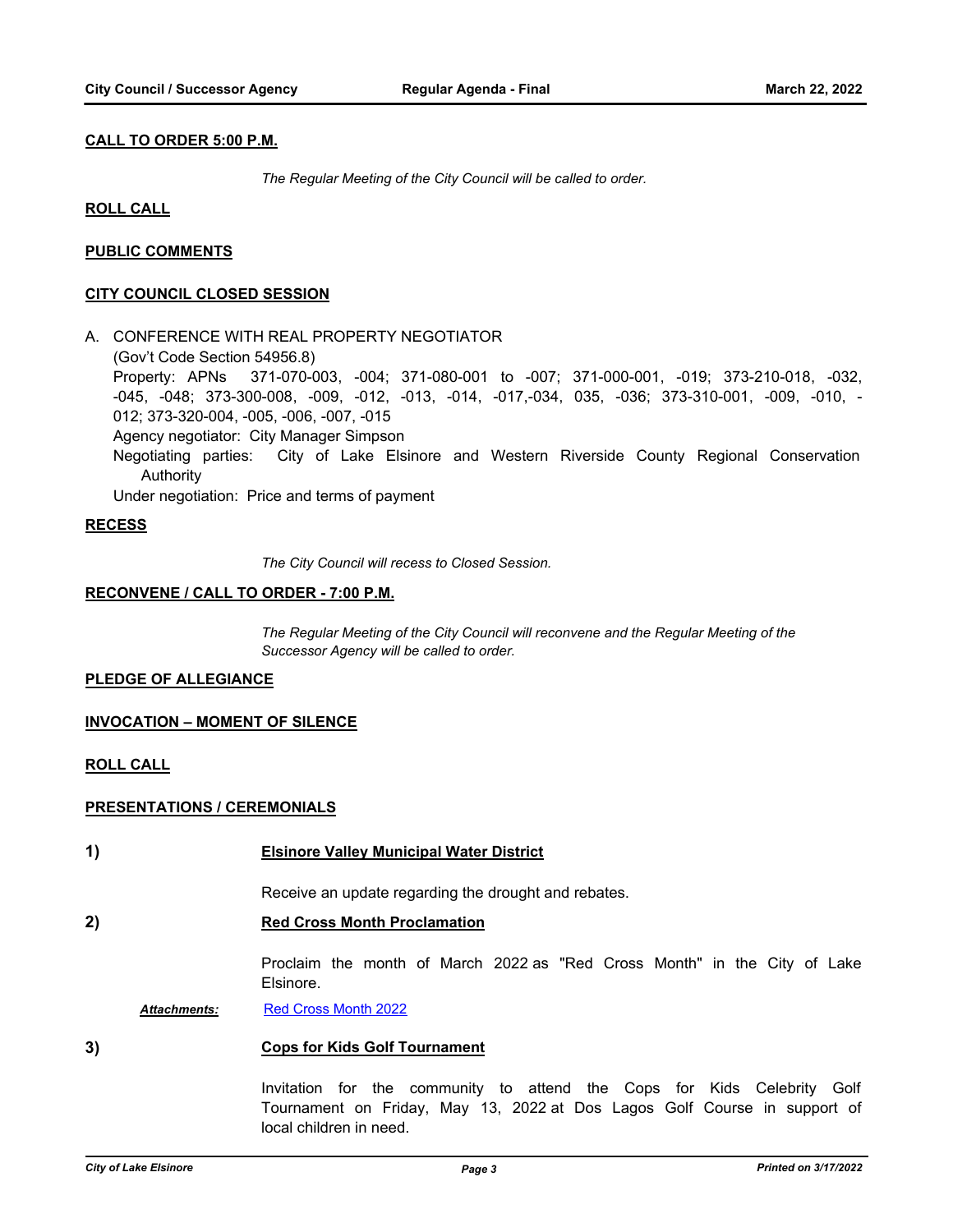### **CALL TO ORDER 5:00 P.M.**

*The Regular Meeting of the City Council will be called to order.*

#### **ROLL CALL**

### **PUBLIC COMMENTS**

#### **CITY COUNCIL CLOSED SESSION**

A. CONFERENCE WITH REAL PROPERTY NEGOTIATOR

(Gov't Code Section 54956.8)

Property: APNs 371-070-003, -004; 371-080-001 to -007; 371-000-001, -019; 373-210-018, -032, -045, -048; 373-300-008, -009, -012, -013, -014, -017,-034, 035, -036; 373-310-001, -009, -010, - 012; 373-320-004, -005, -006, -007, -015

Agency negotiator: City Manager Simpson

Negotiating parties: City of Lake Elsinore and Western Riverside County Regional Conservation Authority

Under negotiation: Price and terms of payment

#### **RECESS**

*The City Council will recess to Closed Session.*

#### **RECONVENE / CALL TO ORDER - 7:00 P.M.**

*The Regular Meeting of the City Council will reconvene and the Regular Meeting of the Successor Agency will be called to order.*

#### **PLEDGE OF ALLEGIANCE**

#### **INVOCATION – MOMENT OF SILENCE**

#### **ROLL CALL**

#### **PRESENTATIONS / CEREMONIALS**

**1) Elsinore Valley Municipal Water District**

Receive an update regarding the drought and rebates.

# **2) Red Cross Month Proclamation**

Proclaim the month of March 2022 as "Red Cross Month" in the City of Lake Elsinore.

Attachments: [Red Cross Month 2022](http://lake-elsinore.legistar.com/gateway.aspx?M=F&ID=909b2674-060c-4322-b0ab-d72580e3d7b0.pdf)

### **3) Cops for Kids Golf Tournament**

Invitation for the community to attend the Cops for Kids Celebrity Golf Tournament on Friday, May 13, 2022 at Dos Lagos Golf Course in support of local children in need.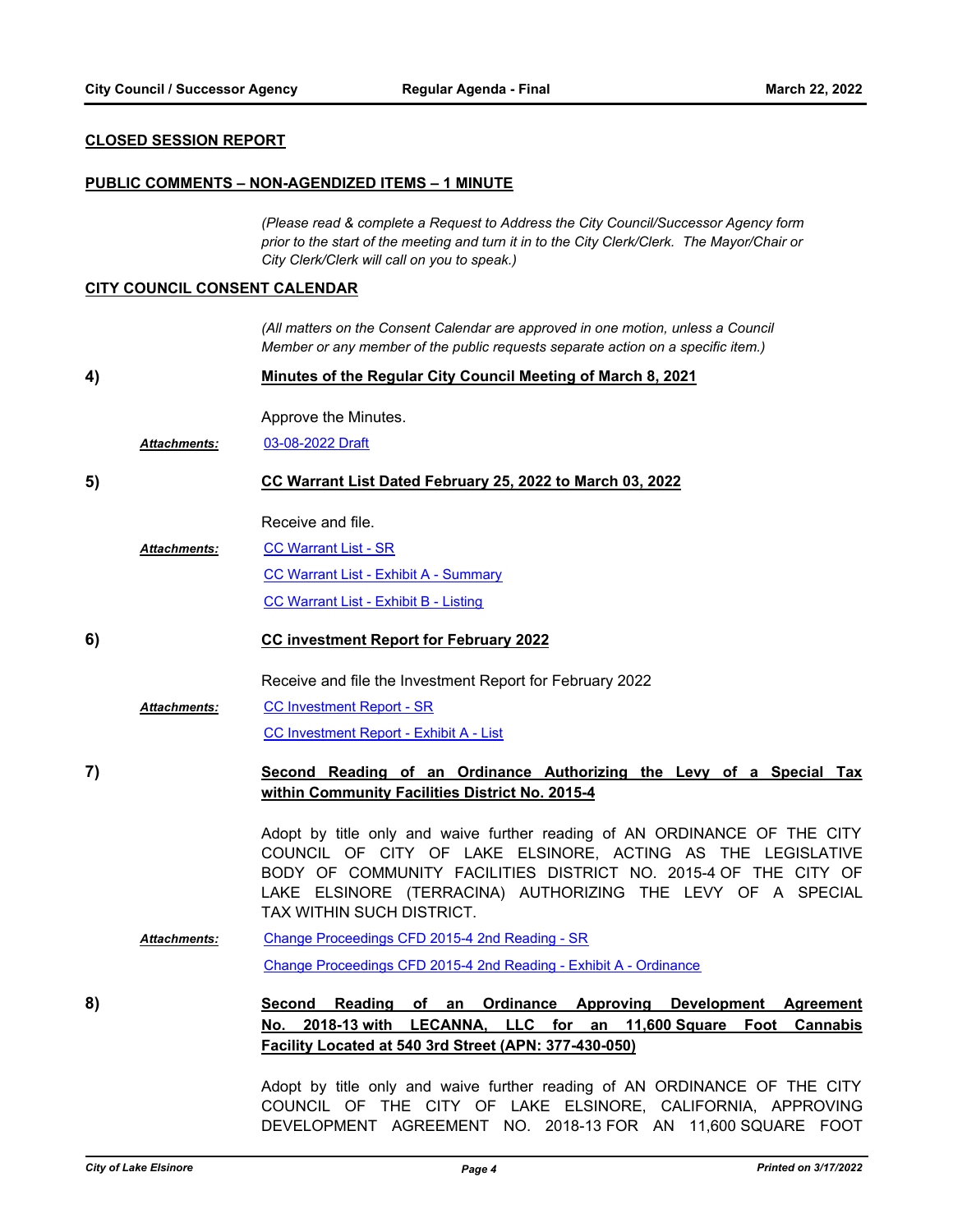#### **CLOSED SESSION REPORT**

#### **PUBLIC COMMENTS – NON-AGENDIZED ITEMS – 1 MINUTE**

*(Please read & complete a Request to Address the City Council/Successor Agency form prior to the start of the meeting and turn it in to the City Clerk/Clerk. The Mayor/Chair or City Clerk/Clerk will call on you to speak.)*

#### **CITY COUNCIL CONSENT CALENDAR**

*(All matters on the Consent Calendar are approved in one motion, unless a Council Member or any member of the public requests separate action on a specific item.)*

**4) Minutes of the Regular City Council Meeting of March 8, 2021**

Approve the Minutes.

*Attachments:* [03-08-2022 Draft](http://lake-elsinore.legistar.com/gateway.aspx?M=F&ID=020847f1-d6c5-428d-93e6-47a77ec2944e.pdf)

#### **5) CC Warrant List Dated February 25, 2022 to March 03, 2022**

Receive and file.

[CC Warrant List - SR](http://lake-elsinore.legistar.com/gateway.aspx?M=F&ID=b540961c-8cbb-4378-a4a1-bddb70095301.docx) [CC Warrant List - Exhibit A - Summary](http://lake-elsinore.legistar.com/gateway.aspx?M=F&ID=696f03b8-8b48-4877-8581-a8716c02ef0c.pdf) [CC Warrant List - Exhibit B - Listing](http://lake-elsinore.legistar.com/gateway.aspx?M=F&ID=f6185943-a26f-47c2-b718-efed78f424ee.pdf) *Attachments:*

#### **6) CC investment Report for February 2022**

Receive and file the Investment Report for February 2022

[CC Investment Report - SR](http://lake-elsinore.legistar.com/gateway.aspx?M=F&ID=b3968604-4e88-49db-b55f-42b9eba83a6f.docx) *Attachments:*

[CC Investment Report - Exhibit A - List](http://lake-elsinore.legistar.com/gateway.aspx?M=F&ID=45f7f6a9-e6cc-47f8-80b8-c90b7ff0383e.pdf)

**7) Second Reading of an Ordinance Authorizing the Levy of a Special Tax within Community Facilities District No. 2015-4**

> Adopt by title only and waive further reading of AN ORDINANCE OF THE CITY COUNCIL OF CITY OF LAKE ELSINORE, ACTING AS THE LEGISLATIVE BODY OF COMMUNITY FACILITIES DISTRICT NO. 2015-4 OF THE CITY OF LAKE ELSINORE (TERRACINA) AUTHORIZING THE LEVY OF A SPECIAL TAX WITHIN SUCH DISTRICT.

[Change Proceedings CFD 2015-4 2nd Reading - SR](http://lake-elsinore.legistar.com/gateway.aspx?M=F&ID=8d07c16e-b8df-401c-9a42-a809115a793b.docx) [Change Proceedings CFD 2015-4 2nd Reading - Exhibit A - Ordinance](http://lake-elsinore.legistar.com/gateway.aspx?M=F&ID=656a59a5-fcb1-4a14-9acf-10a99b7ec28e.docx) *Attachments:*

**8) Second Reading of an Ordinance Approving Development Agreement No. 2018-13 with LECANNA, LLC for an 11,600 Square Foot Cannabis Facility Located at 540 3rd Street (APN: 377-430-050)**

> Adopt by title only and waive further reading of AN ORDINANCE OF THE CITY COUNCIL OF THE CITY OF LAKE ELSINORE, CALIFORNIA, APPROVING DEVELOPMENT AGREEMENT NO. 2018-13 FOR AN 11,600 SQUARE FOOT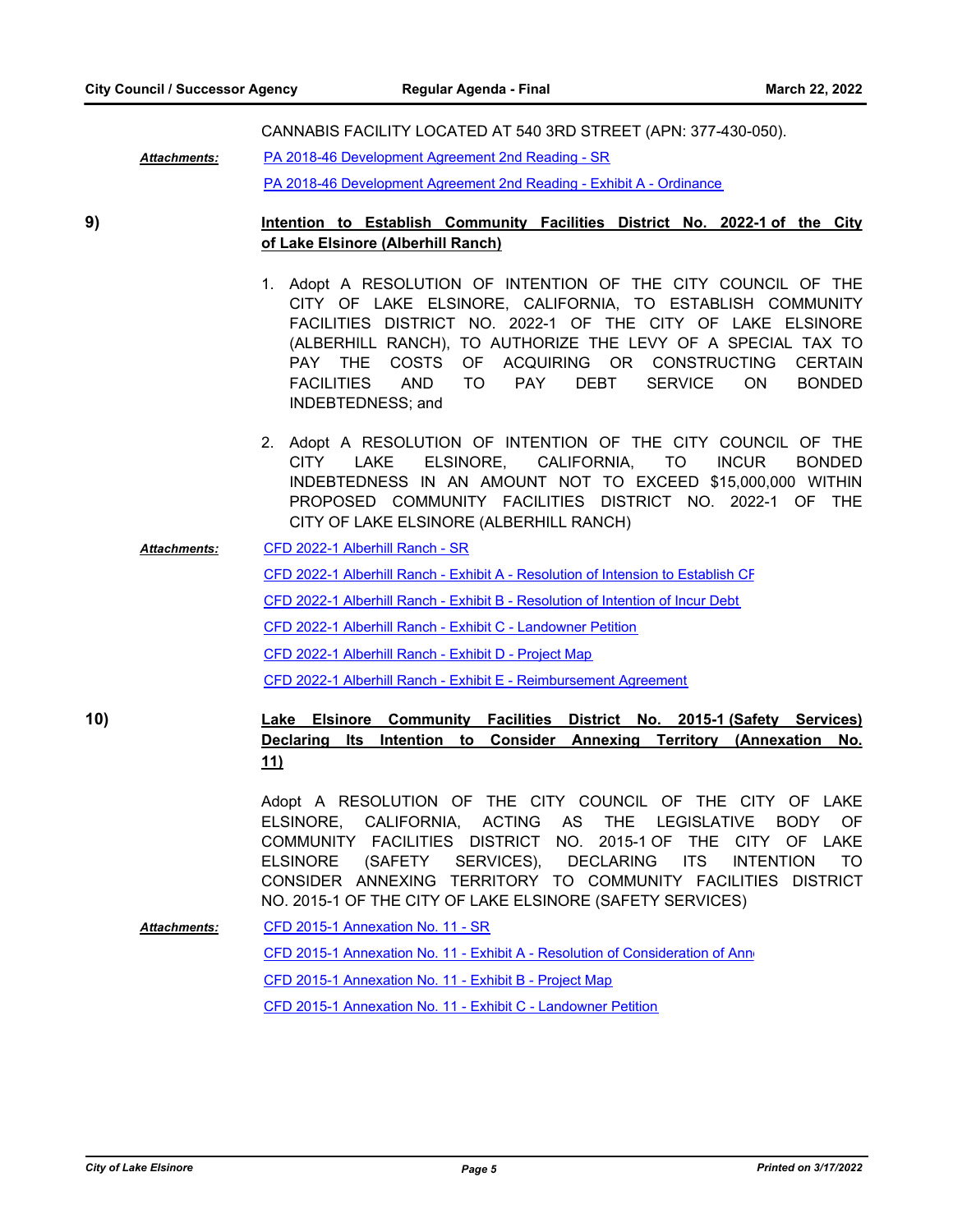CANNABIS FACILITY LOCATED AT 540 3RD STREET (APN: 377-430-050).

[PA 2018-46 Development Agreement 2nd Reading - SR](http://lake-elsinore.legistar.com/gateway.aspx?M=F&ID=cc15a28d-6ee6-410c-9452-86efea3ebe77.docx) *Attachments:*

[PA 2018-46 Development Agreement 2nd Reading - Exhibit A - Ordinance](http://lake-elsinore.legistar.com/gateway.aspx?M=F&ID=7e58f333-6a2f-475b-aa7a-16f2c57faf08.docx)

**9) Intention to Establish Community Facilities District No. 2022-1 of the City of Lake Elsinore (Alberhill Ranch)**

- 1. Adopt A RESOLUTION OF INTENTION OF THE CITY COUNCIL OF THE CITY OF LAKE ELSINORE, CALIFORNIA, TO ESTABLISH COMMUNITY FACILITIES DISTRICT NO. 2022-1 OF THE CITY OF LAKE ELSINORE (ALBERHILL RANCH), TO AUTHORIZE THE LEVY OF A SPECIAL TAX TO PAY THE COSTS OF ACQUIRING OR CONSTRUCTING CERTAIN FACILITIES AND TO PAY DEBT SERVICE ON BONDED INDEBTEDNESS; and
- 2. Adopt A RESOLUTION OF INTENTION OF THE CITY COUNCIL OF THE CITY LAKE ELSINORE, CALIFORNIA, TO INCUR BONDED INDEBTEDNESS IN AN AMOUNT NOT TO EXCEED \$15,000,000 WITHIN PROPOSED COMMUNITY FACILITIES DISTRICT NO. 2022-1 OF THE CITY OF LAKE ELSINORE (ALBERHILL RANCH)
- [CFD 2022-1 Alberhill Ranch SR](http://lake-elsinore.legistar.com/gateway.aspx?M=F&ID=a33cd5cf-a005-439b-aeaa-1d1001f3f6b0.doc) [CFD 2022-1 Alberhill Ranch - Exhibit A - Resolution of Intension to Establish CF](http://lake-elsinore.legistar.com/gateway.aspx?M=F&ID=71186f30-9e59-41ca-ae30-9473332639cc.docx) [CFD 2022-1 Alberhill Ranch - Exhibit B - Resolution of Intention of Incur Debt](http://lake-elsinore.legistar.com/gateway.aspx?M=F&ID=7c8478b0-4f09-4aab-bbbc-f9dc8daee392.doc) [CFD 2022-1 Alberhill Ranch - Exhibit C - Landowner Petition](http://lake-elsinore.legistar.com/gateway.aspx?M=F&ID=79336dab-b1ec-433d-95b6-6adf97579013.doc) [CFD 2022-1 Alberhill Ranch - Exhibit D - Project Map](http://lake-elsinore.legistar.com/gateway.aspx?M=F&ID=4e91744b-7b53-4fa6-aae6-2b58ef0476f9.pdf) [CFD 2022-1 Alberhill Ranch - Exhibit E - Reimbursement Agreement](http://lake-elsinore.legistar.com/gateway.aspx?M=F&ID=72e49c02-f4d1-41bd-9655-aa9c8710f484.docx) *Attachments:*

**10) Lake Elsinore Community Facilities District No. 2015-1 (Safety Services) Declaring Its Intention to Consider Annexing Territory (Annexation No. 11)**

> Adopt A RESOLUTION OF THE CITY COUNCIL OF THE CITY OF LAKE ELSINORE, CALIFORNIA, ACTING AS THE LEGISLATIVE BODY OF COMMUNITY FACILITIES DISTRICT NO. 2015-1 OF THE CITY OF LAKE ELSINORE (SAFETY SERVICES), DECLARING ITS INTENTION TO CONSIDER ANNEXING TERRITORY TO COMMUNITY FACILITIES DISTRICT NO. 2015-1 OF THE CITY OF LAKE ELSINORE (SAFETY SERVICES)

[CFD 2015-1 Annexation No. 11 - SR](http://lake-elsinore.legistar.com/gateway.aspx?M=F&ID=7e963a3a-d431-49fa-b325-18f50553591b.docx) [CFD 2015-1 Annexation No. 11 - Exhibit A - Resolution of Consideration of Anne](http://lake-elsinore.legistar.com/gateway.aspx?M=F&ID=857afef7-3d52-4fa6-9660-04f6135d4a3d.docx) [CFD 2015-1 Annexation No. 11 - Exhibit B - Project Map](http://lake-elsinore.legistar.com/gateway.aspx?M=F&ID=ba8c8cab-828a-4e29-8f39-d1f30ac3e85b.pdf) [CFD 2015-1 Annexation No. 11 - Exhibit C - Landowner Petition](http://lake-elsinore.legistar.com/gateway.aspx?M=F&ID=51940a52-8206-433d-8398-cfa55287dbdd.docx) *Attachments:*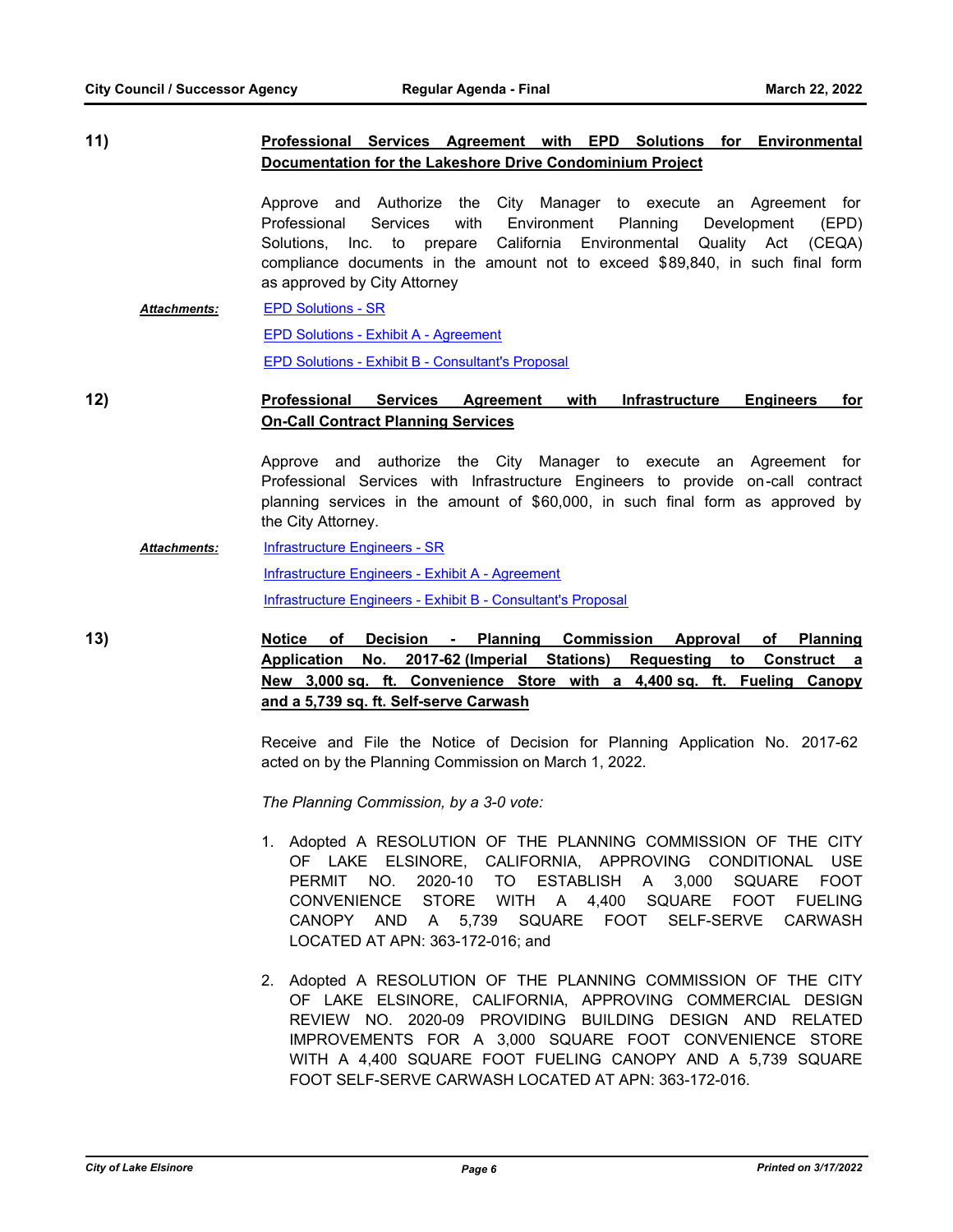# **11) Professional Services Agreement with EPD Solutions for Environmental Documentation for the Lakeshore Drive Condominium Project**

Approve and Authorize the City Manager to execute an Agreement for Professional Services with Environment Planning Development (EPD) Solutions, Inc. to prepare California Environmental Quality Act (CEQA) compliance documents in the amount not to exceed \$89,840, in such final form as approved by City Attorney

[EPD Solutions - SR](http://lake-elsinore.legistar.com/gateway.aspx?M=F&ID=ed78afb6-4058-44ef-8aad-3d80da57257f.docx) [EPD Solutions - Exhibit A - Agreement](http://lake-elsinore.legistar.com/gateway.aspx?M=F&ID=735761ac-e559-4adf-acb4-f8a7701d7ad0.docx) [EPD Solutions - Exhibit B - Consultant's Proposal](http://lake-elsinore.legistar.com/gateway.aspx?M=F&ID=92ad87a6-08e2-4fde-936d-a37941384fc6.pdf) *Attachments:*

# **12) Professional Services Agreement with Infrastructure Engineers for On-Call Contract Planning Services**

Approve and authorize the City Manager to execute an Agreement for Professional Services with Infrastructure Engineers to provide on-call contract planning services in the amount of \$60,000, in such final form as approved by the City Attorney.

#### [Infrastructure Engineers - SR](http://lake-elsinore.legistar.com/gateway.aspx?M=F&ID=141639ac-a016-44c0-89e5-b0073e0fe75c.docx) *Attachments:*

[Infrastructure Engineers - Exhibit A - Agreement](http://lake-elsinore.legistar.com/gateway.aspx?M=F&ID=f9e1c21c-bd3b-4bd4-91a1-17852ce52f71.docx)

[Infrastructure Engineers - Exhibit B - Consultant's Proposal](http://lake-elsinore.legistar.com/gateway.aspx?M=F&ID=b8f30c99-73d5-4642-b67a-a16631f61261.pdf)

**13) Notice of Decision - Planning Commission Approval of Planning Application No. 2017-62 (Imperial Stations) Requesting to Construct a New 3,000 sq. ft. Convenience Store with a 4,400 sq. ft. Fueling Canopy and a 5,739 sq. ft. Self-serve Carwash**

> Receive and File the Notice of Decision for Planning Application No. 2017-62 acted on by the Planning Commission on March 1, 2022.

*The Planning Commission, by a 3-0 vote:*

- 1. Adopted A RESOLUTION OF THE PLANNING COMMISSION OF THE CITY OF LAKE ELSINORE, CALIFORNIA, APPROVING CONDITIONAL USE PERMIT NO. 2020-10 TO ESTABLISH A 3,000 SQUARE FOOT CONVENIENCE STORE WITH A 4,400 SQUARE FOOT FUELING CANOPY AND A 5,739 SQUARE FOOT SELF-SERVE CARWASH LOCATED AT APN: 363-172-016; and
- 2. Adopted A RESOLUTION OF THE PLANNING COMMISSION OF THE CITY OF LAKE ELSINORE, CALIFORNIA, APPROVING COMMERCIAL DESIGN REVIEW NO. 2020-09 PROVIDING BUILDING DESIGN AND RELATED IMPROVEMENTS FOR A 3,000 SQUARE FOOT CONVENIENCE STORE WITH A 4,400 SQUARE FOOT FUELING CANOPY AND A 5,739 SQUARE FOOT SELF-SERVE CARWASH LOCATED AT APN: 363-172-016.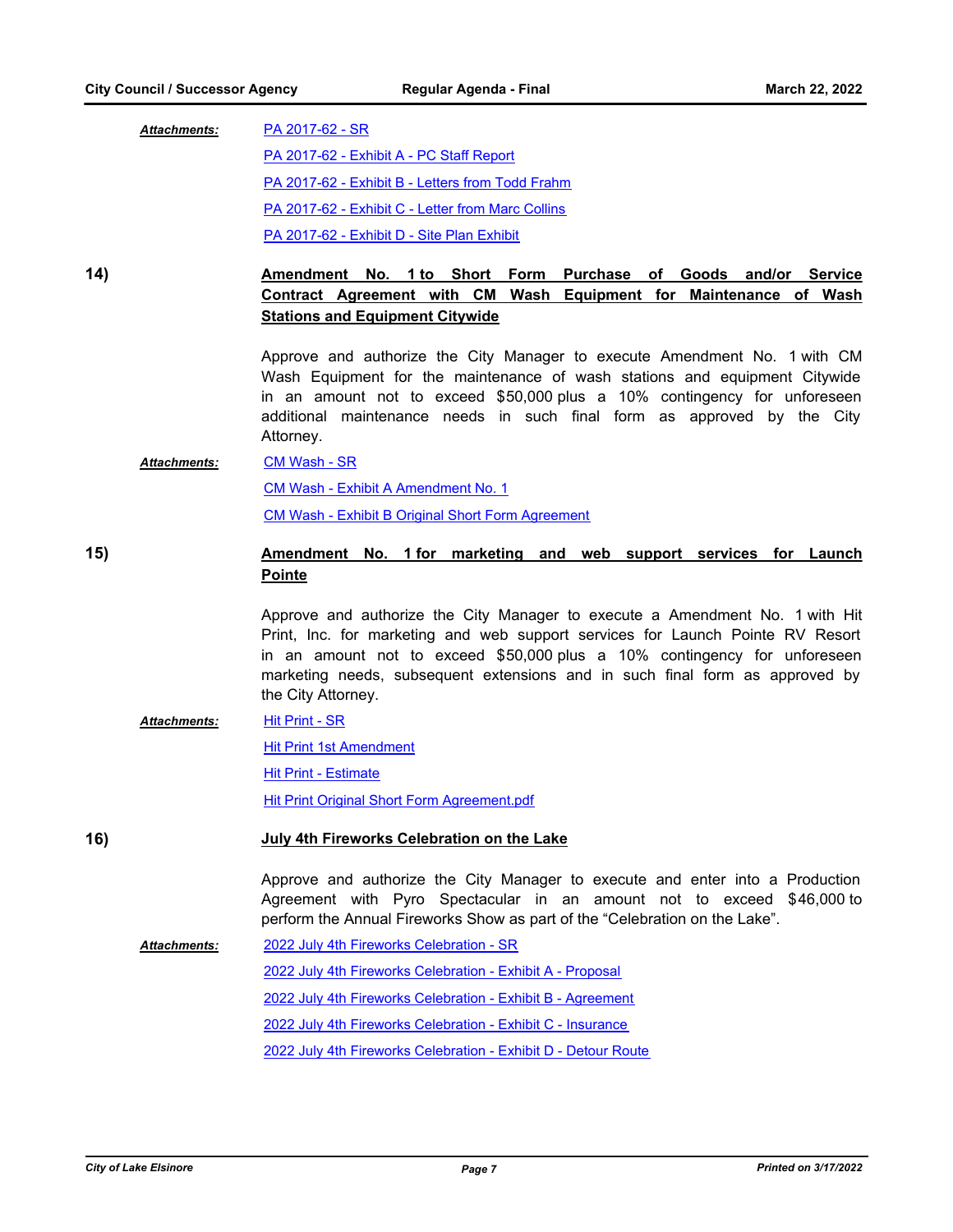| <b>Attachments:</b> | PA 2017-62 - SR                                   |  |
|---------------------|---------------------------------------------------|--|
|                     | PA 2017-62 - Exhibit A - PC Staff Report          |  |
|                     | PA 2017-62 - Exhibit B - Letters from Todd Frahm  |  |
|                     | PA 2017-62 - Exhibit C - Letter from Marc Collins |  |
|                     | <b>PA 2017-62 - Exhibit D - Site Plan Exhibit</b> |  |

**14) Amendment No. 1 to Short Form Purchase of Goods and/or Service Contract Agreement with CM Wash Equipment for Maintenance of Wash Stations and Equipment Citywide**

> Approve and authorize the City Manager to execute Amendment No. 1 with CM Wash Equipment for the maintenance of wash stations and equipment Citywide in an amount not to exceed \$50,000 plus a 10% contingency for unforeseen additional maintenance needs in such final form as approved by the City Attorney.

#### [CM Wash - SR](http://lake-elsinore.legistar.com/gateway.aspx?M=F&ID=d6d21d6e-b08f-4ce4-a262-9034560ee41e.docx) *Attachments:*

[CM Wash - Exhibit A Amendment No. 1](http://lake-elsinore.legistar.com/gateway.aspx?M=F&ID=fff0cac8-b60c-4f08-b113-d045a7ca9fa2.docx)

[CM Wash - Exhibit B Original Short Form Agreement](http://lake-elsinore.legistar.com/gateway.aspx?M=F&ID=8bbdbad7-09a4-4b01-8c8b-9fbc7e687727.pdf)

# **15) Amendment No. 1 for marketing and web support services for Launch Pointe**

Approve and authorize the City Manager to execute a Amendment No. 1 with Hit Print, Inc. for marketing and web support services for Launch Pointe RV Resort in an amount not to exceed \$50,000 plus a 10% contingency for unforeseen marketing needs, subsequent extensions and in such final form as approved by the City Attorney.

#### [Hit Print - SR](http://lake-elsinore.legistar.com/gateway.aspx?M=F&ID=2741b79f-5680-4708-9eed-e01fbebab742.docx) *Attachments:*

[Hit Print 1st Amendment](http://lake-elsinore.legistar.com/gateway.aspx?M=F&ID=51cd2dc3-ac7a-4561-a61e-a9bf04b225f2.docx)

[Hit Print - Estimate](http://lake-elsinore.legistar.com/gateway.aspx?M=F&ID=f3b27c39-69ac-4e18-a41d-28b8c31e025c.pdf)

[Hit Print Original Short Form Agreement.pdf](http://lake-elsinore.legistar.com/gateway.aspx?M=F&ID=03248761-facf-4ce9-a489-3f5f969205c9.pdf)

# **16) July 4th Fireworks Celebration on the Lake**

Approve and authorize the City Manager to execute and enter into a Production Agreement with Pyro Spectacular in an amount not to exceed \$46,000 to perform the Annual Fireworks Show as part of the "Celebration on the Lake".

[2022 July 4th Fireworks Celebration - SR](http://lake-elsinore.legistar.com/gateway.aspx?M=F&ID=69e4ecbf-a912-49d1-a009-739acb264716.doc) [2022 July 4th Fireworks Celebration - Exhibit A - Proposal](http://lake-elsinore.legistar.com/gateway.aspx?M=F&ID=6a7b29a5-8e8d-4bc9-8af5-eeef73aedfe9.pdf) [2022 July 4th Fireworks Celebration - Exhibit B - Agreement](http://lake-elsinore.legistar.com/gateway.aspx?M=F&ID=445dd6e1-9d16-4c46-aad2-ae3186acb688.pdf) [2022 July 4th Fireworks Celebration - Exhibit C - Insurance](http://lake-elsinore.legistar.com/gateway.aspx?M=F&ID=04111764-0f20-4df6-87b3-0e6654166624.pdf) [2022 July 4th Fireworks Celebration - Exhibit D - Detour Route](http://lake-elsinore.legistar.com/gateway.aspx?M=F&ID=b4bec7ed-f964-4faf-b00c-d19ae00a0367.pdf) *Attachments:*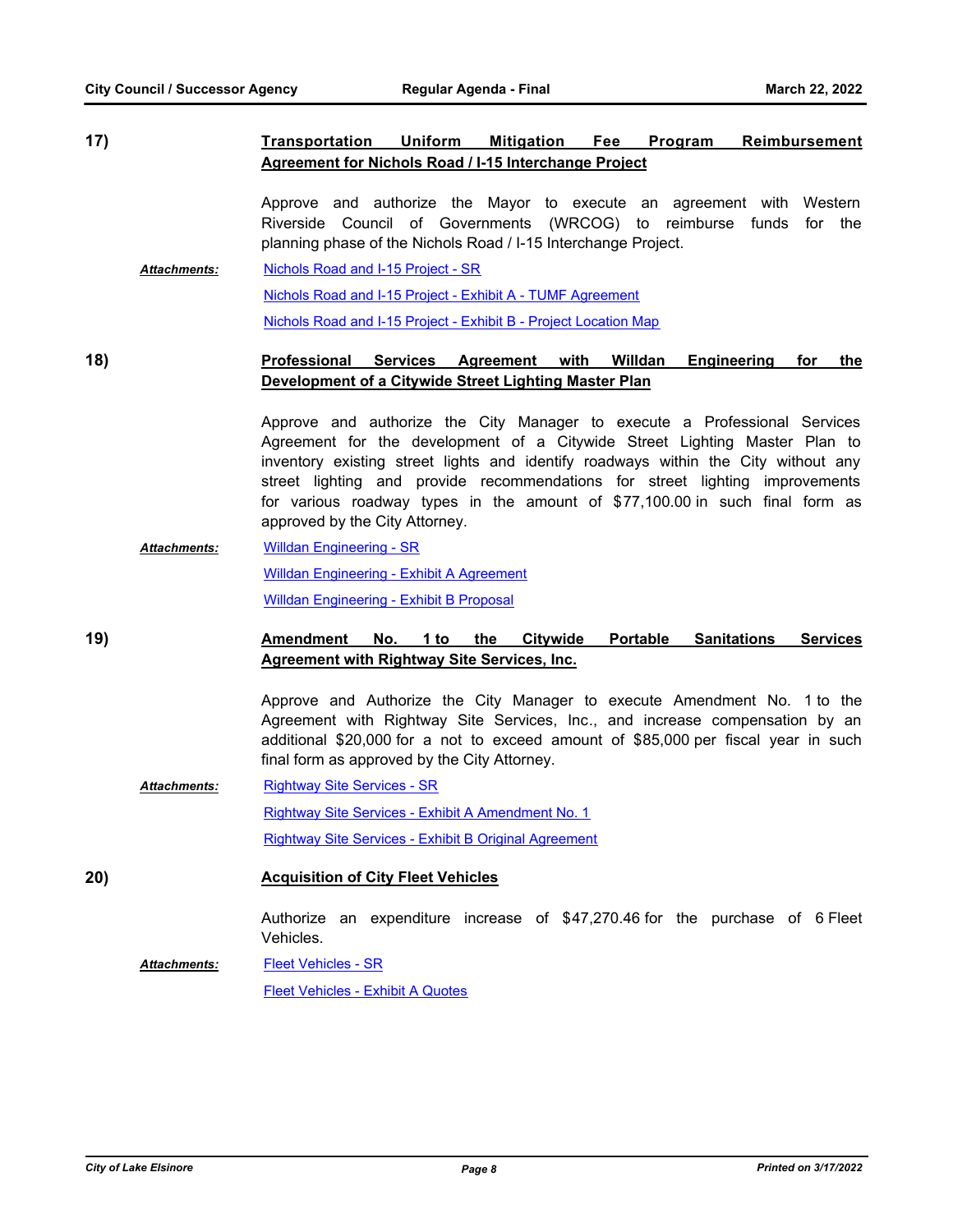**17) Transportation Uniform Mitigation Fee Program Reimbursement Agreement for Nichols Road / I-15 Interchange Project**

> Approve and authorize the Mayor to execute an agreement with Western Riverside Council of Governments (WRCOG) to reimburse funds for the planning phase of the Nichols Road / I-15 Interchange Project.

[Nichols Road and I-15 Project - SR](http://lake-elsinore.legistar.com/gateway.aspx?M=F&ID=07493111-f947-4abe-bd10-4db6f1a25f53.doc) [Nichols Road and I-15 Project - Exhibit A - TUMF Agreement](http://lake-elsinore.legistar.com/gateway.aspx?M=F&ID=4ae82cfa-984a-49ee-ad15-6167b9119dbf.pdf) [Nichols Road and I-15 Project - Exhibit B - Project Location Map](http://lake-elsinore.legistar.com/gateway.aspx?M=F&ID=6ac78a4d-7c5b-4046-8a94-89071642d821.pdf) *Attachments:*

# **18) Professional Services Agreement with Willdan Engineering for the Development of a Citywide Street Lighting Master Plan**

Approve and authorize the City Manager to execute a Professional Services Agreement for the development of a Citywide Street Lighting Master Plan to inventory existing street lights and identify roadways within the City without any street lighting and provide recommendations for street lighting improvements for various roadway types in the amount of \$77,100.00 in such final form as approved by the City Attorney.

[Willdan Engineering - SR](http://lake-elsinore.legistar.com/gateway.aspx?M=F&ID=9ce018a9-768c-4f48-acdd-e45a30ca2e22.docx) [Willdan Engineering - Exhibit A Agreement](http://lake-elsinore.legistar.com/gateway.aspx?M=F&ID=5372c9e5-48a4-4562-8e98-ea8fe39bd862.docx) [Willdan Engineering - Exhibit B Proposal](http://lake-elsinore.legistar.com/gateway.aspx?M=F&ID=dc889094-2b1b-483b-8456-ad16c608f155.pdf) *Attachments:*

# **19) Amendment No. 1 to the Citywide Portable Sanitations Services Agreement with Rightway Site Services, Inc.**

Approve and Authorize the City Manager to execute Amendment No. 1 to the Agreement with Rightway Site Services, Inc., and increase compensation by an additional \$20,000 for a not to exceed amount of \$85,000 per fiscal year in such final form as approved by the City Attorney.

[Rightway Site Services - SR](http://lake-elsinore.legistar.com/gateway.aspx?M=F&ID=90a14a37-f8d1-48fd-a182-bd8db8ca90b4.docx) [Rightway Site Services - Exhibit A Amendment No. 1](http://lake-elsinore.legistar.com/gateway.aspx?M=F&ID=7f90e01a-b430-498a-8167-66bd1d6934af.docx) [Rightway Site Services - Exhibit B Original Agreement](http://lake-elsinore.legistar.com/gateway.aspx?M=F&ID=c5b234e5-c4d0-4ad9-b0ff-61be3239877b.pdf) *Attachments:*

**20) Acquisition of City Fleet Vehicles**

Authorize an expenditure increase of \$47,270.46 for the purchase of 6 Fleet Vehicles.

[Fleet Vehicles - SR](http://lake-elsinore.legistar.com/gateway.aspx?M=F&ID=90088c92-39c0-4de6-92f7-c30f7f35a4eb.docx) *Attachments:*

[Fleet Vehicles - Exhibit A Quotes](http://lake-elsinore.legistar.com/gateway.aspx?M=F&ID=85a1b651-9179-4098-85bd-3d6aadcfbb63.pdf)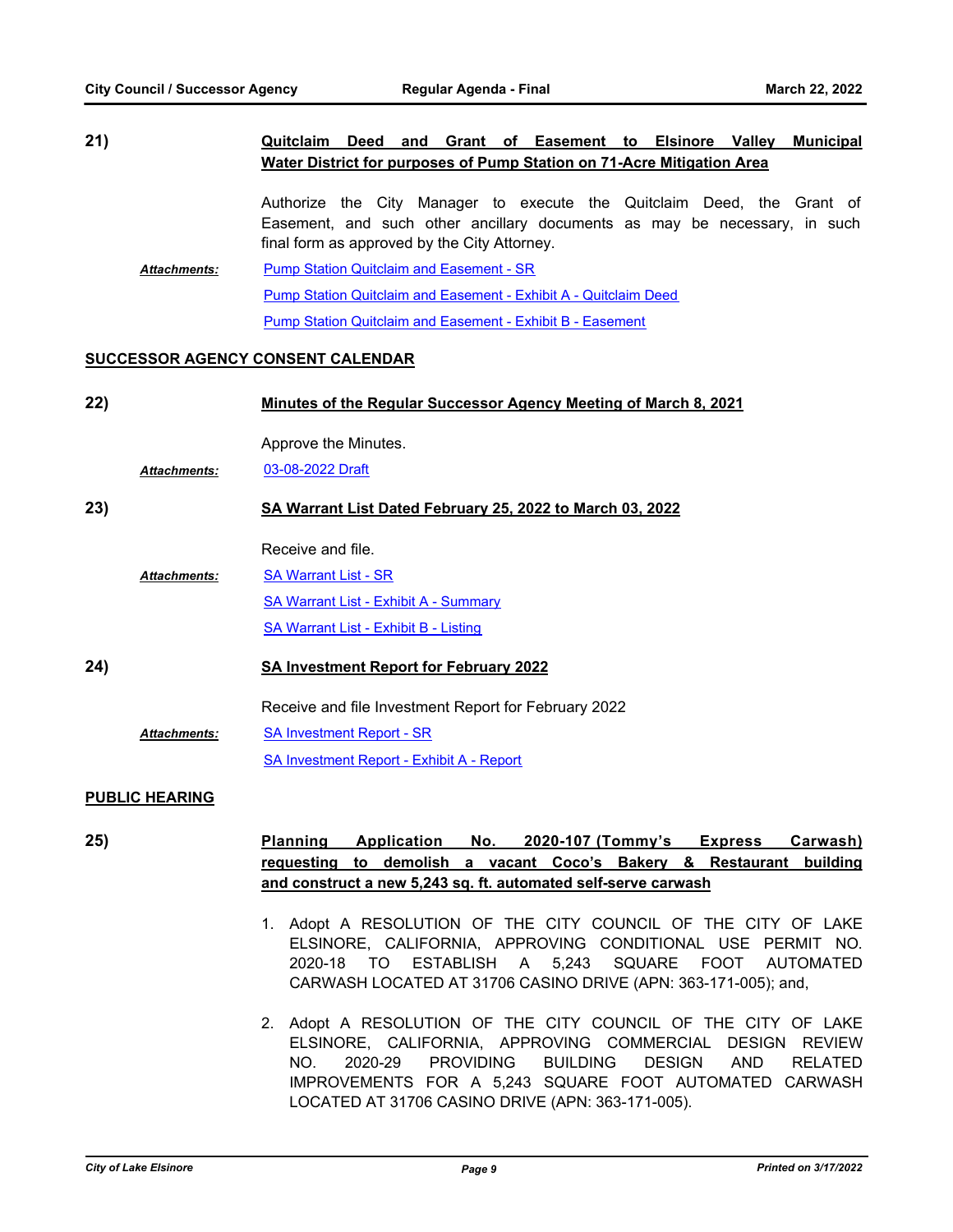| 21) |                     | Deed and Grant of Easement to Elsinore Valley<br><b>Municipal</b><br>Quitclaim                                                                                                                      |
|-----|---------------------|-----------------------------------------------------------------------------------------------------------------------------------------------------------------------------------------------------|
|     |                     | Water District for purposes of Pump Station on 71-Acre Mitigation Area                                                                                                                              |
|     |                     | Authorize the City Manager to execute the Quitclaim Deed, the Grant of<br>Easement, and such other ancillary documents as may be necessary, in such<br>final form as approved by the City Attorney. |
|     | <b>Attachments:</b> | <b>Pump Station Quitclaim and Easement - SR</b>                                                                                                                                                     |
|     |                     | Pump Station Quitclaim and Easement - Exhibit A - Quitclaim Deed                                                                                                                                    |
|     |                     | <b>Pump Station Quitclaim and Easement - Exhibit B - Easement</b>                                                                                                                                   |
|     |                     |                                                                                                                                                                                                     |

# **SUCCESSOR AGENCY CONSENT CALENDAR**

| 22)              |                     | Minutes of the Regular Successor Agency Meeting of March 8, 2021 |
|------------------|---------------------|------------------------------------------------------------------|
|                  | <b>Attachments:</b> | Approve the Minutes.<br>03-08-2022 Draft                         |
| 23)              |                     | SA Warrant List Dated February 25, 2022 to March 03, 2022        |
|                  |                     | Receive and file.                                                |
|                  | Attachments:        | <b>SA Warrant List - SR</b>                                      |
|                  |                     | <b>SA Warrant List - Exhibit A - Summary</b>                     |
|                  |                     | <b>SA Warrant List - Exhibit B - Listing</b>                     |
| 24)              |                     | <b>SA Investment Report for February 2022</b>                    |
|                  |                     | Receive and file Investment Report for February 2022             |
|                  | <b>Attachments:</b> | <b>SA Investment Report - SR</b>                                 |
|                  |                     | <b>SA Investment Report - Exhibit A - Report</b>                 |
| RUBLIA UE ABILIA |                     |                                                                  |

# **PUBLIC HEARING**

**25) Planning Application No. 2020-107 (Tommy's Express Carwash) requesting to demolish a vacant Coco's Bakery & Restaurant building and construct a new 5,243 sq. ft. automated self-serve carwash**

- 1. Adopt A RESOLUTION OF THE CITY COUNCIL OF THE CITY OF LAKE ELSINORE, CALIFORNIA, APPROVING CONDITIONAL USE PERMIT NO. 2020-18 TO ESTABLISH A 5,243 SQUARE FOOT AUTOMATED CARWASH LOCATED AT 31706 CASINO DRIVE (APN: 363-171-005); and,
- 2. Adopt A RESOLUTION OF THE CITY COUNCIL OF THE CITY OF LAKE ELSINORE, CALIFORNIA, APPROVING COMMERCIAL DESIGN REVIEW NO. 2020-29 PROVIDING BUILDING DESIGN AND RELATED IMPROVEMENTS FOR A 5,243 SQUARE FOOT AUTOMATED CARWASH LOCATED AT 31706 CASINO DRIVE (APN: 363-171-005).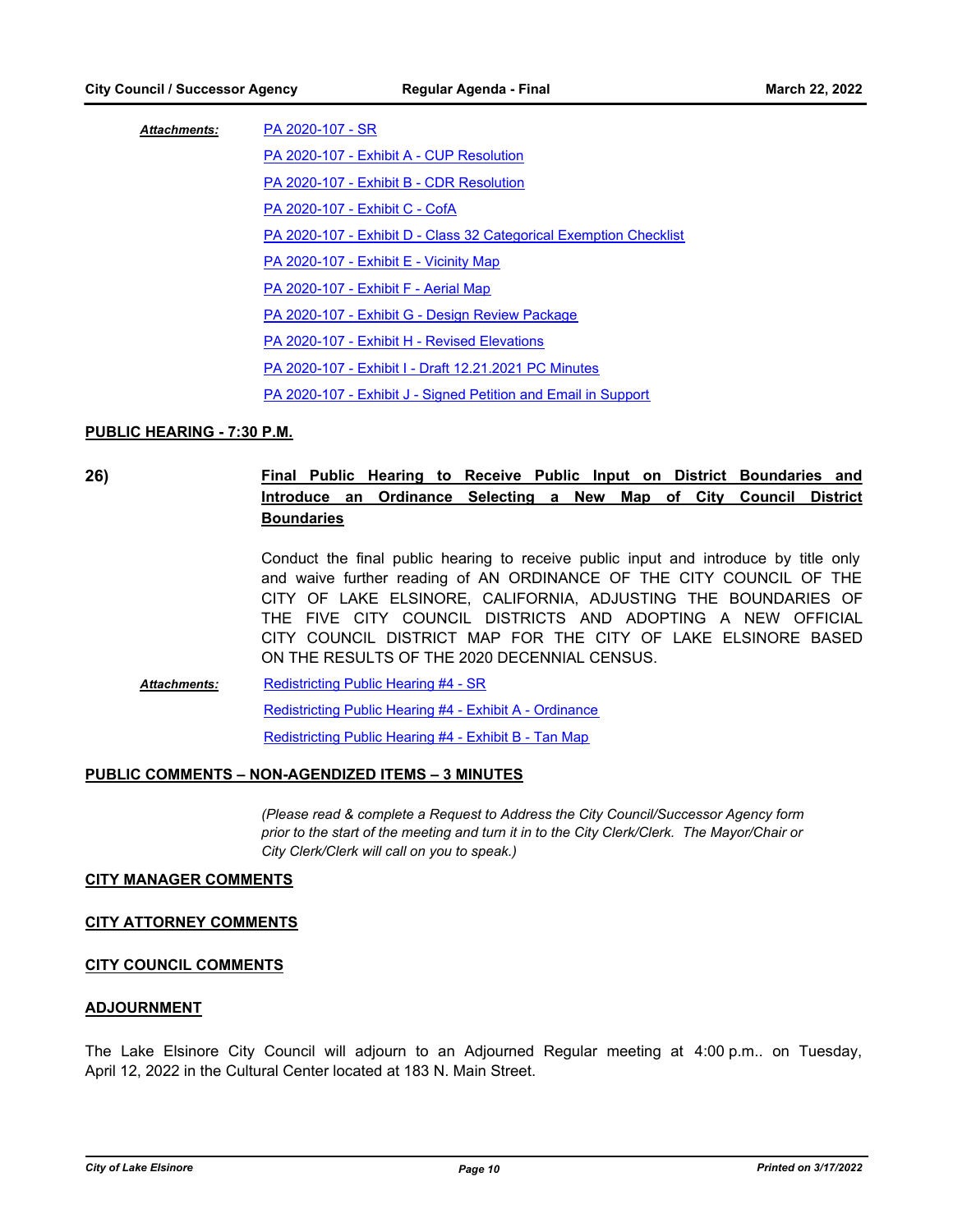| <b>Attachments:</b> | PA 2020-107 - SR                                                   |
|---------------------|--------------------------------------------------------------------|
|                     | PA 2020-107 - Exhibit A - CUP Resolution                           |
|                     | PA 2020-107 - Exhibit B - CDR Resolution                           |
|                     | PA 2020-107 - Exhibit C - CofA                                     |
|                     | PA 2020-107 - Exhibit D - Class 32 Categorical Exemption Checklist |
|                     | PA 2020-107 - Exhibit E - Vicinity Map                             |
|                     | PA 2020-107 - Exhibit F - Aerial Map                               |
|                     | PA 2020-107 - Exhibit G - Design Review Package                    |
|                     | PA 2020-107 - Exhibit H - Revised Elevations                       |
|                     | PA 2020-107 - Exhibit I - Draft 12.21.2021 PC Minutes              |
|                     | PA 2020-107 - Exhibit J - Signed Petition and Email in Support     |
|                     |                                                                    |

# **PUBLIC HEARING - 7:30 P.M.**

# **26) Final Public Hearing to Receive Public Input on District Boundaries and Introduce an Ordinance Selecting a New Map of City Council District Boundaries**

Conduct the final public hearing to receive public input and introduce by title only and waive further reading of AN ORDINANCE OF THE CITY COUNCIL OF THE CITY OF LAKE ELSINORE, CALIFORNIA, ADJUSTING THE BOUNDARIES OF THE FIVE CITY COUNCIL DISTRICTS AND ADOPTING A NEW OFFICIAL CITY COUNCIL DISTRICT MAP FOR THE CITY OF LAKE ELSINORE BASED ON THE RESULTS OF THE 2020 DECENNIAL CENSUS.

[Redistricting Public Hearing #4 - SR](http://lake-elsinore.legistar.com/gateway.aspx?M=F&ID=dd48f6db-6437-44d5-a3fa-6aad662c77e8.docx) [Redistricting Public Hearing #4 - Exhibit A - Ordinance](http://lake-elsinore.legistar.com/gateway.aspx?M=F&ID=efadfafa-5d25-4980-844a-6b32aecd25e0.docx) [Redistricting Public Hearing #4 - Exhibit B - Tan Map](http://lake-elsinore.legistar.com/gateway.aspx?M=F&ID=85137541-abd7-4e55-a44a-4eee41a8d68b.pdf) *Attachments:*

# **PUBLIC COMMENTS – NON-AGENDIZED ITEMS – 3 MINUTES**

*(Please read & complete a Request to Address the City Council/Successor Agency form prior to the start of the meeting and turn it in to the City Clerk/Clerk. The Mayor/Chair or City Clerk/Clerk will call on you to speak.)*

#### **CITY MANAGER COMMENTS**

#### **CITY ATTORNEY COMMENTS**

### **CITY COUNCIL COMMENTS**

#### **ADJOURNMENT**

The Lake Elsinore City Council will adjourn to an Adjourned Regular meeting at 4:00 p.m.. on Tuesday, April 12, 2022 in the Cultural Center located at 183 N. Main Street.